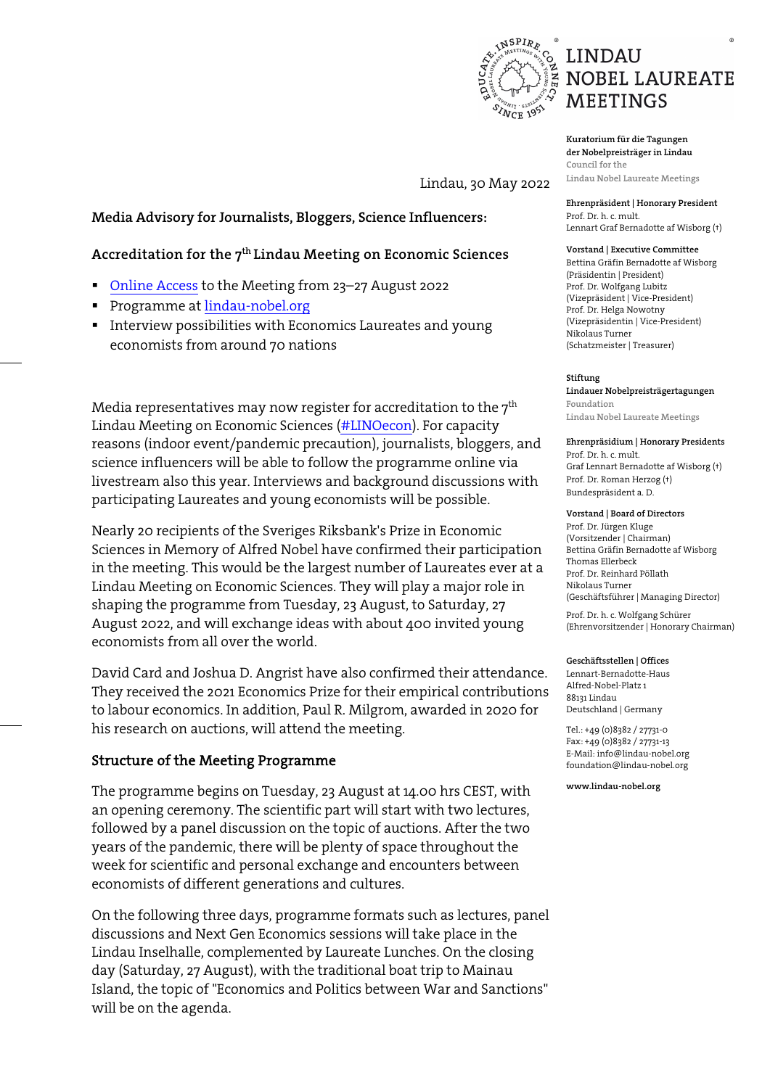

Prof. Dr. h. c. mult.

**Kuratorium für die Tagungen der Nobelpreisträger in Lindau Council for the Lindau Nobel Laureate Meetings**

Lindau, 30 May 2022

## **Media Advisory for Journalists, Bloggers, Science Influencers:**

## **Accreditation for the 7th Lindau Meeting on Economic Sciences**

- [Online Access](https://www.lindau-nobel.org/accreditation) to the Meeting from 23–27 August 2022
- **Programme at [lindau-nobel.org](https://www.mediatheque.lindau-nobel.org/meetings/2022-econ)**
- **IF Interview possibilities with Economics Laureates and young** economists from around 70 nations

Media representatives may now register for accreditation to the  $7<sup>th</sup>$ Lindau Meeting on Economic Sciences [\(#LINOecon\)](https://twitter.com/search?q=%23LINOEcon&src=hashtag_click&f=live). For capacity reasons (indoor event/pandemic precaution), journalists, bloggers, and science influencers will be able to follow the programme online via livestream also this year. Interviews and background discussions with participating Laureates and young economists will be possible.

Nearly 20 recipients of the Sveriges Riksbank's Prize in Economic Sciences in Memory of Alfred Nobel have confirmed their participation in the meeting. This would be the largest number of Laureates ever at a Lindau Meeting on Economic Sciences. They will play a major role in shaping the programme from Tuesday, 23 August, to Saturday, 27 August 2022, and will exchange ideas with about 400 invited young economists from all over the world.

David Card and Joshua D. Angrist have also confirmed their attendance. They received the 2021 Economics Prize for their empirical contributions to labour economics. In addition, Paul R. Milgrom, awarded in 2020 for his research on auctions, will attend the meeting.

## Structure of the Meeting Programme

The programme begins on Tuesday, 23 August at 14.00 hrs CEST, with an opening ceremony. The scientific part will start with two lectures, followed by a panel discussion on the topic of auctions. After the two years of the pandemic, there will be plenty of space throughout the week for scientific and personal exchange and encounters between economists of different generations and cultures.

On the following three days, programme formats such as lectures, panel discussions and Next Gen Economics sessions will take place in the Lindau Inselhalle, complemented by Laureate Lunches. On the closing day (Saturday, 27 August), with the traditional boat trip to Mainau Island, the topic of "Economics and Politics between War and Sanctions" will be on the agenda.

### Lennart Graf Bernadotte af Wisborg (†) **Vorstand | Executive Committee**

**Ehrenpräsident | Honorary President**

Bettina Gräfin Bernadotte af Wisborg (Präsidentin | President) Prof. Dr. Wolfgang Lubitz (Vizepräsident | Vice-President) Prof. Dr. Helga Nowotny (Vizepräsidentin | Vice-President) Nikolaus Turner (Schatzmeister | Treasurer)

### **Stiftung**

**Lindauer Nobelpreisträgertagungen Foundation Lindau Nobel Laureate Meetings** 

### **Ehrenpräsidium | Honorary Presidents**

Prof. Dr. h. c. mult. Graf Lennart Bernadotte af Wisborg (†) Prof. Dr. Roman Herzog (†) Bundespräsident a. D.

### **Vorstand | Board of Directors**

Prof. Dr. Jürgen Kluge (Vorsitzender | Chairman) Bettina Gräfin Bernadotte af Wisborg Thomas Ellerbeck Prof. Dr. Reinhard Pöllath Nikolaus Turner (Geschäftsführer | Managing Director)

Prof. Dr. h. c. Wolfgang Schürer (Ehrenvorsitzender | Honorary Chairman)

### **Geschäftsstellen | Offices**

Lennart-Bernadotte-Haus Alfred-Nobel-Platz 1 88131 Lindau Deutschland | Germany

Tel.: +49 (0)8382 / 27731-0 Fax: +49 (0)8382 / 27731-13 E-Mail: info@lindau-nobel.org foundation@lindau-nobel.org

**www.lindau-nobel.org**